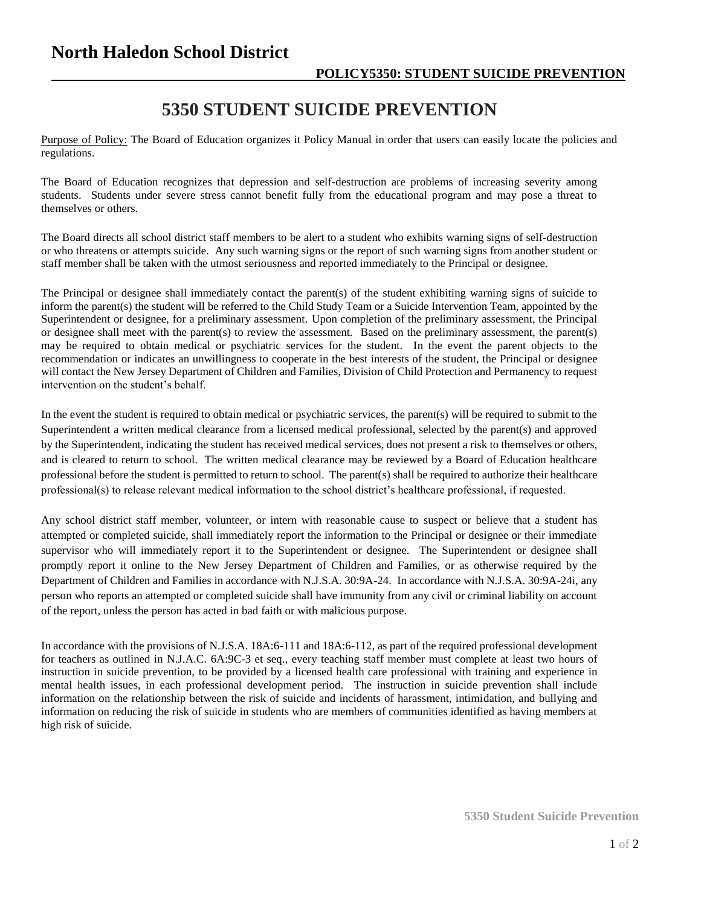## **North Haledon School District**

## **5350 STUDENT SUICIDE PREVENTION**

Purpose of Policy: The Board of Education organizes it Policy Manual in order that users can easily locate the policies and regulations.

The Board of Education recognizes that depression and self-destruction are problems of increasing severity among students. Students under severe stress cannot benefit fully from the educational program and may pose a threat to themselves or others.

The Board directs all school district staff members to be alert to a student who exhibits warning signs of self-destruction or who threatens or attempts suicide. Any such warning signs or the report of such warning signs from another student or staff member shall be taken with the utmost seriousness and reported immediately to the Principal or designee.

The Principal or designee shall immediately contact the parent(s) of the student exhibiting warning signs of suicide to inform the parent(s) the student will be referred to the Child Study Team or a Suicide Intervention Team, appointed by the Superintendent or designee, for a preliminary assessment. Upon completion of the preliminary assessment, the Principal or designee shall meet with the parent(s) to review the assessment. Based on the preliminary assessment, the parent(s) may be required to obtain medical or psychiatric services for the student. In the event the parent objects to the recommendation or indicates an unwillingness to cooperate in the best interests of the student, the Principal or designee will contact the New Jersey Department of Children and Families, Division of Child Protection and Permanency to request intervention on the student's behalf.

In the event the student is required to obtain medical or psychiatric services, the parent(s) will be required to submit to the Superintendent a written medical clearance from a licensed medical professional, selected by the parent(s) and approved by the Superintendent, indicating the student has received medical services, does not present a risk to themselves or others, and is cleared to return to school. The written medical clearance may be reviewed by a Board of Education healthcare professional before the student is permitted to return to school. The parent(s) shall be required to authorize their healthcare professional(s) to release relevant medical information to the school district's healthcare professional, if requested.

Any school district staff member, volunteer, or intern with reasonable cause to suspect or believe that a student has attempted or completed suicide, shall immediately report the information to the Principal or designee or their immediate supervisor who will immediately report it to the Superintendent or designee. The Superintendent or designee shall promptly report it online to the New Jersey Department of Children and Families, or as otherwise required by the Department of Children and Families in accordance with N.J.S.A. 30:9A-24. In accordance with N.J.S.A. 30:9A-24i, any person who reports an attempted or completed suicide shall have immunity from any civil or criminal liability on account of the report, unless the person has acted in bad faith or with malicious purpose.

In accordance with the provisions of N.J.S.A. 18A:6-111 and 18A:6-112, as part of the required professional development for teachers as outlined in N.J.A.C. 6A:9C-3 et seq., every teaching staff member must complete at least two hours of instruction in suicide prevention, to be provided by a licensed health care professional with training and experience in mental health issues, in each professional development period. The instruction in suicide prevention shall include information on the relationship between the risk of suicide and incidents of harassment, intimidation, and bullying and information on reducing the risk of suicide in students who are members of communities identified as having members at high risk of suicide.